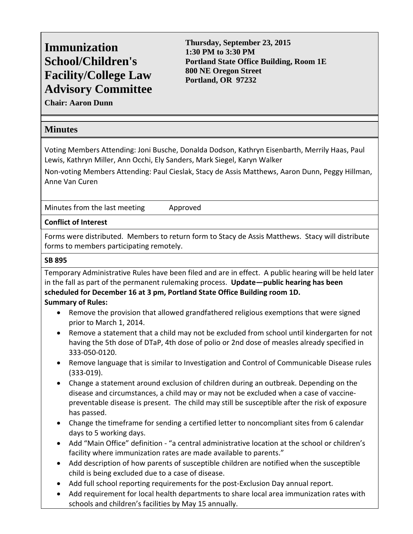# **Immunization School/Children's Facility/College Law Advisory Committee**

**Thursday, September 23, 2015 1:30 PM to 3:30 PM Portland State Office Building, Room 1E 800 NE Oregon Street Portland, OR 97232** 

**Chair: Aaron Dunn** 

## **Minutes**

Voting Members Attending: Joni Busche, Donalda Dodson, Kathryn Eisenbarth, Merrily Haas, Paul Lewis, Kathryn Miller, Ann Occhi, Ely Sanders, Mark Siegel, Karyn Walker

Non‐voting Members Attending: Paul Cieslak, Stacy de Assis Matthews, Aaron Dunn, Peggy Hillman, Anne Van Curen

Minutes from the last meeting approved

#### **Conflict of Interest**

Forms were distributed. Members to return form to Stacy de Assis Matthews. Stacy will distribute forms to members participating remotely.

#### **SB 895**

Temporary Administrative Rules have been filed and are in effect. A public hearing will be held later in the fall as part of the permanent rulemaking process. **Update—public hearing has been scheduled for December 16 at 3 pm, Portland State Office Building room 1D. Summary of Rules:**

- Remove the provision that allowed grandfathered religious exemptions that were signed prior to March 1, 2014.
- Remove a statement that a child may not be excluded from school until kindergarten for not having the 5th dose of DTaP, 4th dose of polio or 2nd dose of measles already specified in 333‐050‐0120.
- Remove language that is similar to Investigation and Control of Communicable Disease rules (333‐019).
- Change a statement around exclusion of children during an outbreak. Depending on the disease and circumstances, a child may or may not be excluded when a case of vaccine‐ preventable disease is present. The child may still be susceptible after the risk of exposure has passed.
- Change the timeframe for sending a certified letter to noncompliant sites from 6 calendar days to 5 working days.
- Add "Main Office" definition ‐ "a central administrative location at the school or children's facility where immunization rates are made available to parents."
- Add description of how parents of susceptible children are notified when the susceptible child is being excluded due to a case of disease.
- Add full school reporting requirements for the post-Exclusion Day annual report.
- Add requirement for local health departments to share local area immunization rates with schools and children's facilities by May 15 annually.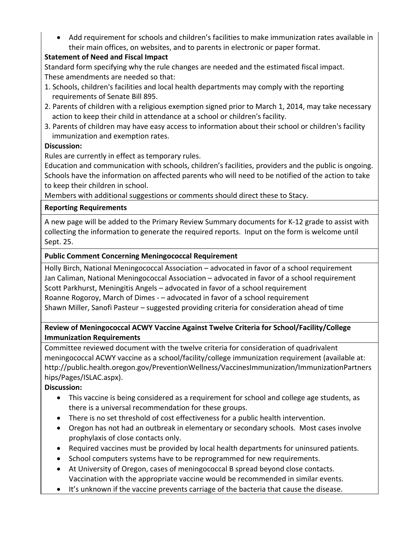Add requirement for schools and children's facilities to make immunization rates available in their main offices, on websites, and to parents in electronic or paper format.

## **Statement of Need and Fiscal Impact**

Standard form specifying why the rule changes are needed and the estimated fiscal impact. These amendments are needed so that:

- 1. Schools, children's facilities and local health departments may comply with the reporting requirements of Senate Bill 895.
- 2. Parents of children with a religious exemption signed prior to March 1, 2014, may take necessary action to keep their child in attendance at a school or children's facility.
- 3. Parents of children may have easy access to information about their school or children's facility immunization and exemption rates.

## **Discussion:**

Rules are currently in effect as temporary rules.

Education and communication with schools, children's facilities, providers and the public is ongoing. Schools have the information on affected parents who will need to be notified of the action to take to keep their children in school.

Members with additional suggestions or comments should direct these to Stacy.

#### **Reporting Requirements**

A new page will be added to the Primary Review Summary documents for K‐12 grade to assist with collecting the information to generate the required reports. Input on the form is welcome until Sept. 25.

#### **Public Comment Concerning Meningococcal Requirement**

Holly Birch, National Meningococcal Association – advocated in favor of a school requirement Jan Caliman, National Meningococcal Association – advocated in favor of a school requirement Scott Parkhurst, Meningitis Angels – advocated in favor of a school requirement Roanne Rogoroy, March of Dimes ‐ – advocated in favor of a school requirement Shawn Miller, Sanofi Pasteur – suggested providing criteria for consideration ahead of time

#### **Review of Meningococcal ACWY Vaccine Against Twelve Criteria for School/Facility/College Immunization Requirements**

Committee reviewed document with the twelve criteria for consideration of quadrivalent meningococcal ACWY vaccine as a school/facility/college immunization requirement (available at: http://public.health.oregon.gov/PreventionWellness/VaccinesImmunization/ImmunizationPartners hips/Pages/ISLAC.aspx).

**Discussion:**

- This vaccine is being considered as a requirement for school and college age students, as there is a universal recommendation for these groups.
- There is no set threshold of cost effectiveness for a public health intervention.
- Oregon has not had an outbreak in elementary or secondary schools. Most cases involve prophylaxis of close contacts only.
- Required vaccines must be provided by local health departments for uninsured patients.
- School computers systems have to be reprogrammed for new requirements.
- At University of Oregon, cases of meningococcal B spread beyond close contacts. Vaccination with the appropriate vaccine would be recommended in similar events.
- It's unknown if the vaccine prevents carriage of the bacteria that cause the disease.